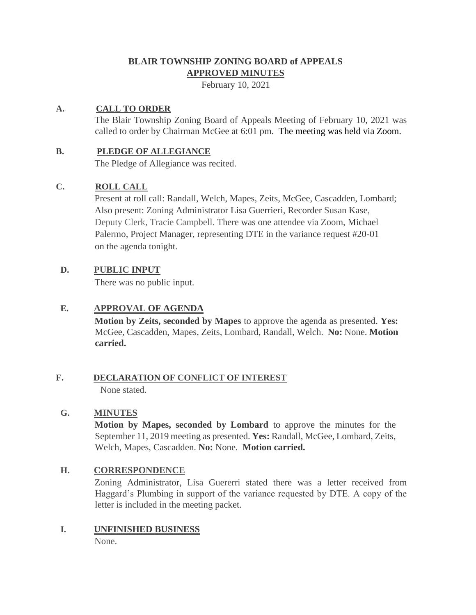# **BLAIR TOWNSHIP ZONING BOARD of APPEALS APPROVED MINUTES**

February 10, 2021

## **A. CALL TO ORDER**

The Blair Township Zoning Board of Appeals Meeting of February 10, 2021 was called to order by Chairman McGee at 6:01 pm. The meeting was held via Zoom.

### **B. PLEDGE OF ALLEGIANCE**

The Pledge of Allegiance was recited.

# **C. ROLL CALL**

Present at roll call: Randall, Welch, Mapes, Zeits, McGee, Cascadden, Lombard; Also present: Zoning Administrator Lisa Guerrieri, Recorder Susan Kase, Deputy Clerk, Tracie Campbell. There was one attendee via Zoom, Michael Palermo, Project Manager, representing DTE in the variance request #20-01 on the agenda tonight.

# **D. PUBLIC INPUT**

There was no public input.

# **E. APPROVAL OF AGENDA**

**Motion by Zeits, seconded by Mapes** to approve the agenda as presented. **Yes:**  McGee, Cascadden, Mapes, Zeits, Lombard, Randall, Welch. **No:** None. **Motion carried.**

#### **F. DECLARATION OF CONFLICT OF INTEREST** None stated.

#### **G. MINUTES**

**Motion by Mapes, seconded by Lombard** to approve the minutes for the September 11, 2019 meeting as presented. **Yes:** Randall, McGee, Lombard, Zeits, Welch, Mapes, Cascadden. **No:** None. **Motion carried.**

# **H. CORRESPONDENCE**

Zoning Administrator, Lisa Guererri stated there was a letter received from Haggard's Plumbing in support of the variance requested by DTE. A copy of the letter is included in the meeting packet.

#### **I. UNFINISHED BUSINESS** None.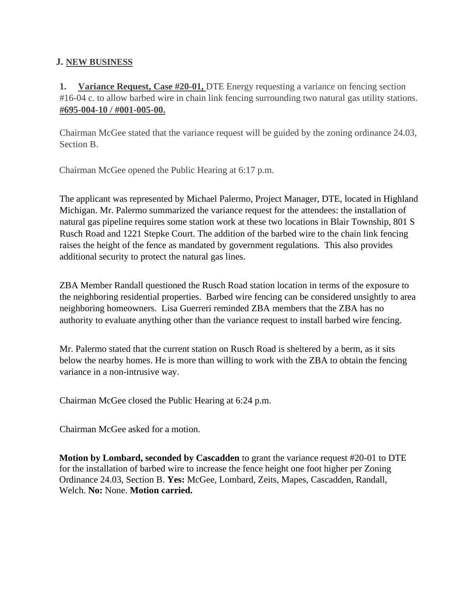### **J. NEW BUSINESS**

**1.** Variance Request, Case #20-01, DTE Energy requesting a variance on fencing section #16-04 c. to allow barbed wire in chain link fencing surrounding two natural gas utility stations. **#695-004-10 / #001-005-00.**

Chairman McGee stated that the variance request will be guided by the zoning ordinance 24.03, Section B.

Chairman McGee opened the Public Hearing at 6:17 p.m.

The applicant was represented by Michael Palermo, Project Manager, DTE, located in Highland Michigan. Mr. Palermo summarized the variance request for the attendees: the installation of natural gas pipeline requires some station work at these two locations in Blair Township, 801 S Rusch Road and 1221 Stepke Court. The addition of the barbed wire to the chain link fencing raises the height of the fence as mandated by government regulations. This also provides additional security to protect the natural gas lines.

ZBA Member Randall questioned the Rusch Road station location in terms of the exposure to the neighboring residential properties. Barbed wire fencing can be considered unsightly to area neighboring homeowners. Lisa Guerreri reminded ZBA members that the ZBA has no authority to evaluate anything other than the variance request to install barbed wire fencing.

Mr. Palermo stated that the current station on Rusch Road is sheltered by a berm, as it sits below the nearby homes. He is more than willing to work with the ZBA to obtain the fencing variance in a non-intrusive way.

Chairman McGee closed the Public Hearing at 6:24 p.m.

Chairman McGee asked for a motion.

**Motion by Lombard, seconded by Cascadden** to grant the variance request #20-01 to DTE for the installation of barbed wire to increase the fence height one foot higher per Zoning Ordinance 24.03, Section B. **Yes:** McGee, Lombard, Zeits, Mapes, Cascadden, Randall, Welch. **No:** None. **Motion carried.**